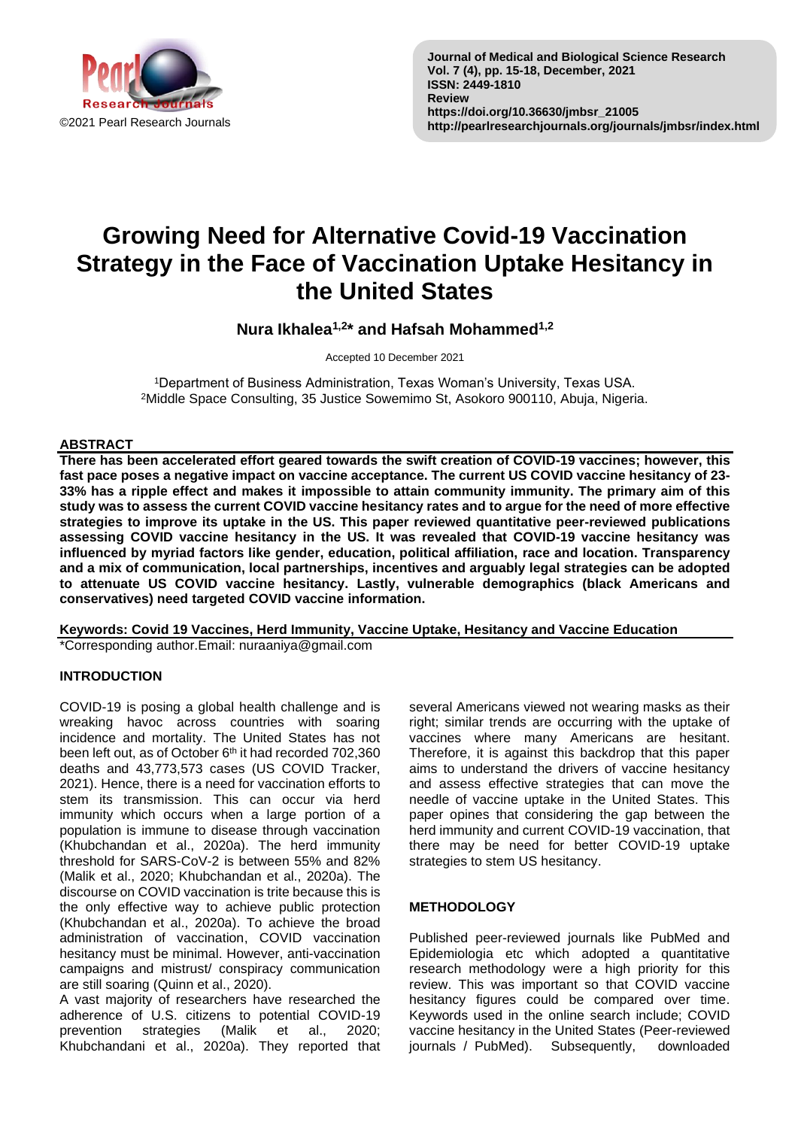

# **Growing Need for Alternative Covid-19 Vaccination Strategy in the Face of Vaccination Uptake Hesitancy in the United States**

**Nura Ikhalea1,2\* and Hafsah Mohammed1,2**

Accepted 10 December 2021

<sup>1</sup>Department of Business Administration, Texas Woman's University, Texas USA. <sup>2</sup>Middle Space Consulting, 35 Justice Sowemimo St, Asokoro 900110, Abuja, Nigeria.

## **ABSTRACT**

**There has been accelerated effort geared towards the swift creation of COVID-19 vaccines; however, this fast pace poses a negative impact on vaccine acceptance. The current US COVID vaccine hesitancy of 23- 33% has a ripple effect and makes it impossible to attain community immunity. The primary aim of this study was to assess the current COVID vaccine hesitancy rates and to argue for the need of more effective strategies to improve its uptake in the US. This paper reviewed quantitative peer-reviewed publications assessing COVID vaccine hesitancy in the US. It was revealed that COVID-19 vaccine hesitancy was influenced by myriad factors like gender, education, political affiliation, race and location. Transparency and a mix of communication, local partnerships, incentives and arguably legal strategies can be adopted to attenuate US COVID vaccine hesitancy. Lastly, vulnerable demographics (black Americans and conservatives) need targeted COVID vaccine information.**

**Keywords: Covid 19 Vaccines, Herd Immunity, Vaccine Uptake, Hesitancy and Vaccine Education**

\*Corresponding author.Email: nuraaniya@gmail.com

# **INTRODUCTION**

COVID-19 is posing a global health challenge and is wreaking havoc across countries with soaring incidence and mortality. The United States has not been left out, as of October 6<sup>th</sup> it had recorded 702,360 deaths and 43,773,573 cases (US COVID Tracker, 2021). Hence, there is a need for vaccination efforts to stem its transmission. This can occur via herd immunity which occurs when a large portion of a population is immune to disease through vaccination (Khubchandan et al., 2020a). The herd immunity threshold for SARS-CoV-2 is between 55% and 82% (Malik et al., 2020; Khubchandan et al., 2020a). The discourse on COVID vaccination is trite because this is the only effective way to achieve public protection (Khubchandan et al., 2020a). To achieve the broad administration of vaccination, COVID vaccination hesitancy must be minimal. However, anti-vaccination campaigns and mistrust/ conspiracy communication are still soaring (Quinn et al., 2020).

A vast majority of researchers have researched the adherence of U.S. citizens to potential COVID-19 prevention strategies (Malik et al., 2020; Khubchandani et al., 2020a). They reported that several Americans viewed not wearing masks as their right; similar trends are occurring with the uptake of vaccines where many Americans are hesitant. Therefore, it is against this backdrop that this paper aims to understand the drivers of vaccine hesitancy and assess effective strategies that can move the needle of vaccine uptake in the United States. This paper opines that considering the gap between the herd immunity and current COVID-19 vaccination, that there may be need for better COVID-19 uptake strategies to stem US hesitancy.

## **METHODOLOGY**

Published peer-reviewed journals like PubMed and Epidemiologia etc which adopted a quantitative research methodology were a high priority for this review. This was important so that COVID vaccine hesitancy figures could be compared over time. Keywords used in the online search include; COVID vaccine hesitancy in the United States (Peer-reviewed journals / PubMed). Subsequently, downloaded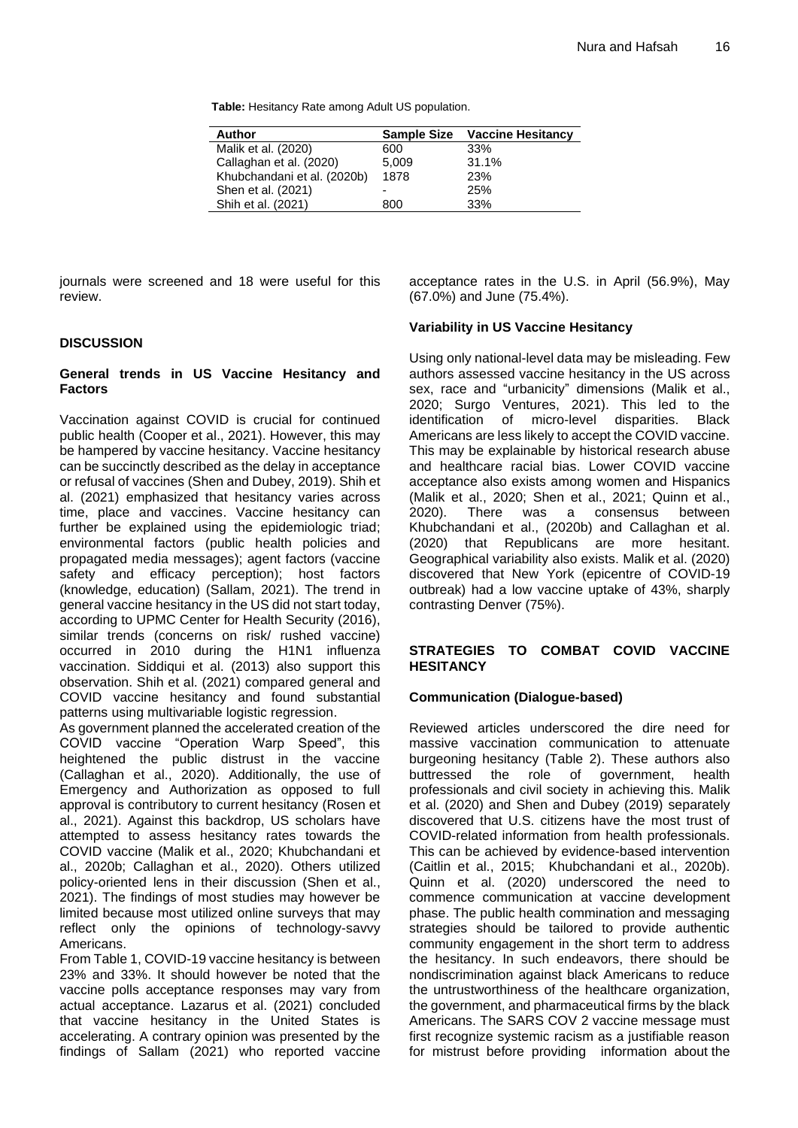**Table:** Hesitancy Rate among Adult US population.

| Author                      | <b>Sample Size</b> | <b>Vaccine Hesitancy</b> |
|-----------------------------|--------------------|--------------------------|
| Malik et al. (2020)         | 600                | 33%                      |
| Callaghan et al. (2020)     | 5,009              | 31.1%                    |
| Khubchandani et al. (2020b) | 1878               | 23%                      |
| Shen et al. (2021)          | -                  | 25%                      |
| Shih et al. (2021)          | 800                | 33%                      |

journals were screened and 18 were useful for this review.

## **DISCUSSION**

#### **General trends in US Vaccine Hesitancy and Factors**

Vaccination against COVID is crucial for continued public health (Cooper et al., 2021). However, this may be hampered by vaccine hesitancy. Vaccine hesitancy can be succinctly described as the delay in acceptance or refusal of vaccines (Shen and Dubey, 2019). Shih et al. (2021) emphasized that hesitancy varies across time, place and vaccines. Vaccine hesitancy can further be explained using the epidemiologic triad; environmental factors (public health policies and propagated media messages); agent factors (vaccine safety and efficacy perception); host factors (knowledge, education) (Sallam, 2021). The trend in general vaccine hesitancy in the US did not start today, according to UPMC Center for Health Security (2016), similar trends (concerns on risk/ rushed vaccine) occurred in 2010 during the H1N1 influenza vaccination. Siddiqui et al. (2013) also support this observation. Shih et al. (2021) compared general and COVID vaccine hesitancy and found substantial patterns using multivariable logistic regression.

As government planned the accelerated creation of the COVID vaccine "Operation Warp Speed", this heightened the public distrust in the vaccine (Callaghan et al., 2020). Additionally, the use of Emergency and Authorization as opposed to full approval is contributory to current hesitancy (Rosen et al., 2021). Against this backdrop, US scholars have attempted to assess hesitancy rates towards the COVID vaccine (Malik et al., 2020; Khubchandani et al., 2020b; Callaghan et al., 2020). Others utilized policy-oriented lens in their discussion (Shen et al., 2021). The findings of most studies may however be limited because most utilized online surveys that may reflect only the opinions of technology-savvy Americans.

From Table 1, COVID-19 vaccine hesitancy is between 23% and 33%. It should however be noted that the vaccine polls acceptance responses may vary from actual acceptance. Lazarus et al. (2021) concluded that vaccine hesitancy in the United States is accelerating. A contrary opinion was presented by the findings of Sallam (2021) who reported vaccine acceptance rates in the U.S. in April (56.9%), May (67.0%) and June (75.4%).

## **Variability in US Vaccine Hesitancy**

Using only national-level data may be misleading. Few authors assessed vaccine hesitancy in the US across sex, race and "urbanicity" dimensions (Malik et al., 2020; Surgo Ventures, 2021). This led to the identification of micro-level disparities. Black Americans are less likely to accept the COVID vaccine. This may be explainable by historical research abuse and healthcare racial bias. Lower COVID vaccine acceptance also exists among women and Hispanics (Malik et al., 2020; Shen et al., 2021; Quinn et al., 2020). There was a consensus between Khubchandani et al., (2020b) and Callaghan et al. (2020) that Republicans are more hesitant. Geographical variability also exists. Malik et al. (2020) discovered that New York (epicentre of COVID-19 outbreak) had a low vaccine uptake of 43%, sharply contrasting Denver (75%).

## **STRATEGIES TO COMBAT COVID VACCINE HESITANCY**

# **Communication (Dialogue-based)**

Reviewed articles underscored the dire need for massive vaccination communication to attenuate burgeoning hesitancy (Table 2). These authors also buttressed the role of government, health professionals and civil society in achieving this. Malik et al. (2020) and Shen and Dubey (2019) separately discovered that U.S. citizens have the most trust of COVID-related information from health professionals. This can be achieved by evidence-based intervention (Caitlin et al., 2015; Khubchandani et al., 2020b). Quinn et al. (2020) underscored the need to commence communication at vaccine development phase. The public health commination and messaging strategies should be tailored to provide authentic community engagement in the short term to address the hesitancy. In such endeavors, there should be nondiscrimination against black Americans to reduce the untrustworthiness of the healthcare organization, the government, and pharmaceutical firms by the black Americans. The SARS COV 2 vaccine message must first recognize systemic racism as a justifiable reason for mistrust before providing information about the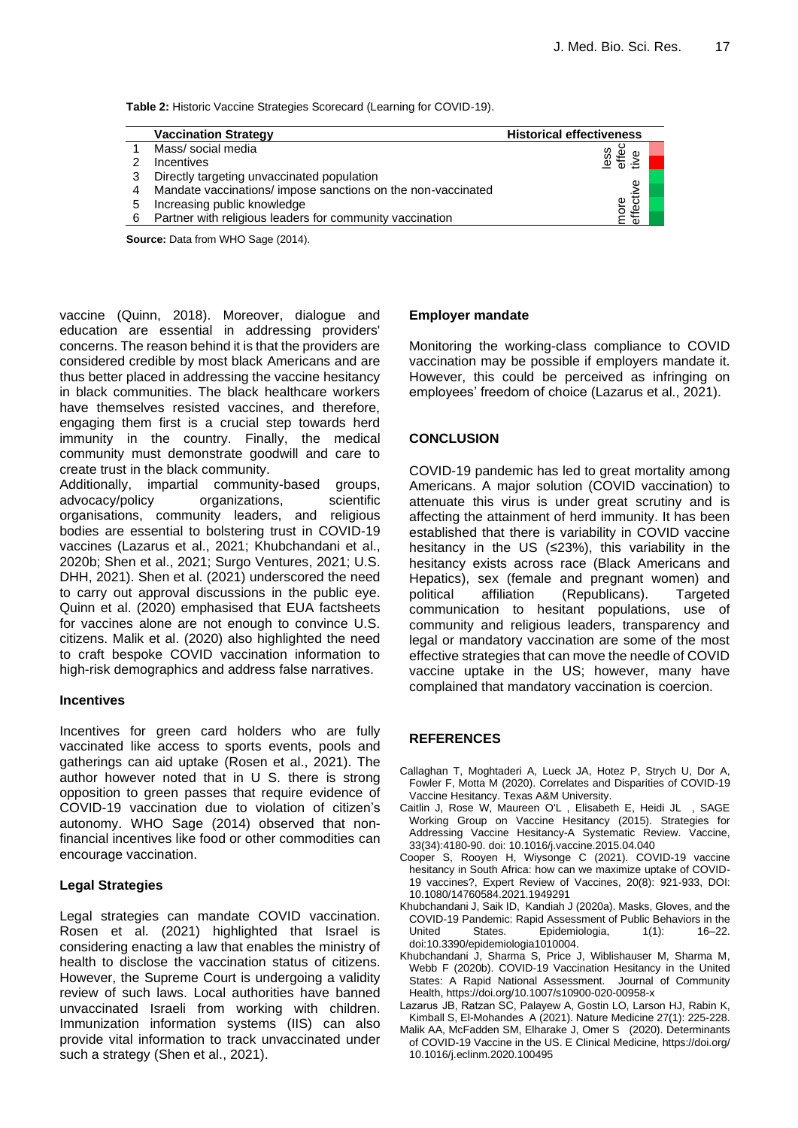**Table 2:** Historic Vaccine Strategies Scorecard (Learning for COVID-19).

|   | <b>Vaccination Strategy</b>                                  | <b>Historical effectiveness</b> |  |
|---|--------------------------------------------------------------|---------------------------------|--|
|   | Mass/ social media                                           |                                 |  |
|   | <b>Incentives</b>                                            | ess<br>a#e                      |  |
| 3 | Directly targeting unvaccinated population                   |                                 |  |
|   | Mandate vaccinations/ impose sanctions on the non-vaccinated |                                 |  |
| 5 | Increasing public knowledge                                  | ore<br>ffect                    |  |
| 6 | Partner with religious leaders for community vaccination     | Q)                              |  |

**Source:** Data from WHO Sage (2014).

vaccine (Quinn, 2018). Moreover, dialogue and education are essential in addressing providers' concerns. The reason behind it is that the providers are considered credible by most black Americans and are thus better placed in addressing the vaccine hesitancy in black communities. The black healthcare workers have themselves resisted vaccines, and therefore, engaging them first is a crucial step towards herd immunity in the country. Finally, the medical community must demonstrate goodwill and care to create trust in the black community.

Additionally, impartial community-based groups, advocacy/policy organizations, scientific organisations, community leaders, and religious bodies are essential to bolstering trust in COVID-19 vaccines (Lazarus et al., 2021; Khubchandani et al., 2020b; Shen et al., 2021; Surgo Ventures, 2021; U.S. DHH, 2021). Shen et al. (2021) underscored the need to carry out approval discussions in the public eye. Quinn et al. (2020) emphasised that EUA factsheets for vaccines alone are not enough to convince U.S. citizens. Malik et al. (2020) also highlighted the need to craft bespoke COVID vaccination information to high-risk demographics and address false narratives.

#### **Incentives**

Incentives for green card holders who are fully vaccinated like access to sports events, pools and gatherings can aid uptake (Rosen et al., 2021). The author however noted that in U S. there is strong opposition to green passes that require evidence of COVID-19 vaccination due to violation of citizen's autonomy. WHO Sage (2014) observed that nonfinancial incentives like food or other commodities can encourage vaccination.

## **Legal Strategies**

Legal strategies can mandate COVID vaccination. Rosen et al. (2021) highlighted that Israel is considering enacting a law that enables the ministry of health to disclose the vaccination status of citizens. However, the Supreme Court is undergoing a validity review of such laws. Local authorities have banned unvaccinated Israeli from working with children. Immunization information systems (IIS) can also provide vital information to track unvaccinated under such a strategy (Shen et al., 2021).

#### **Employer mandate**

Monitoring the working-class compliance to COVID vaccination may be possible if employers mandate it. However, this could be perceived as infringing on employees' freedom of choice (Lazarus et al., 2021).

#### **CONCLUSION**

COVID-19 pandemic has led to great mortality among Americans. A major solution (COVID vaccination) to attenuate this virus is under great scrutiny and is affecting the attainment of herd immunity. It has been established that there is variability in COVID vaccine hesitancy in the US (≤23%), this variability in the hesitancy exists across race (Black Americans and Hepatics), sex (female and pregnant women) and political affiliation (Republicans). Targeted communication to hesitant populations, use of community and religious leaders, transparency and legal or mandatory vaccination are some of the most effective strategies that can move the needle of COVID vaccine uptake in the US; however, many have complained that mandatory vaccination is coercion.

## **REFERENCES**

- Callaghan T, Moghtaderi A, Lueck JA, Hotez P, Strych U, Dor A, Fowler F, Motta M (2020). Correlates and Disparities of COVID-19 Vaccine Hesitancy. Texas A&M University.
- Caitlin J, Rose W, Maureen O'L , Elisabeth E, Heidi JL , SAGE Working Group on Vaccine Hesitancy (2015). Strategies for Addressing Vaccine Hesitancy-A Systematic Review. Vaccine, 33(34):4180-90. doi: 10.1016/j.vaccine.2015.04.040
- Cooper S, Rooyen H, Wiysonge C (2021). COVID-19 vaccine hesitancy in South Africa: how can we maximize uptake of COVID-19 vaccines?, Expert Review of Vaccines, 20(8): 921-933, DOI: 10.1080/14760584.2021.1949291
- Khubchandani J, Saik ID, Kandiah J (2020a). Masks, Gloves, and the COVID-19 Pandemic: Rapid Assessment of Public Behaviors in the United States. Epidemiologia, 1(1): 16-22. doi:10.3390/epidemiologia1010004.
- Khubchandani J, Sharma S, Price J, Wiblishauser M, Sharma M, Webb F (2020b). COVID-19 Vaccination Hesitancy in the United States: A Rapid National Assessment. Journal of Community Health, https://doi.org/10.1007/s10900-020-00958-x
- Lazarus  JB, Ratzan SC, Palayew A, Gostin LO, Larson HJ, Rabin K, Kimball S, El-Mohandes A (2021). Nature Medicine 27(1): 225-228.
- Malik AA, McFadden SM, Elharake J, Omer S (2020). Determinants of COVID-19 Vaccine in the US. E Clinical Medicine, https://doi.org/ 10.1016/j.eclinm.2020.100495